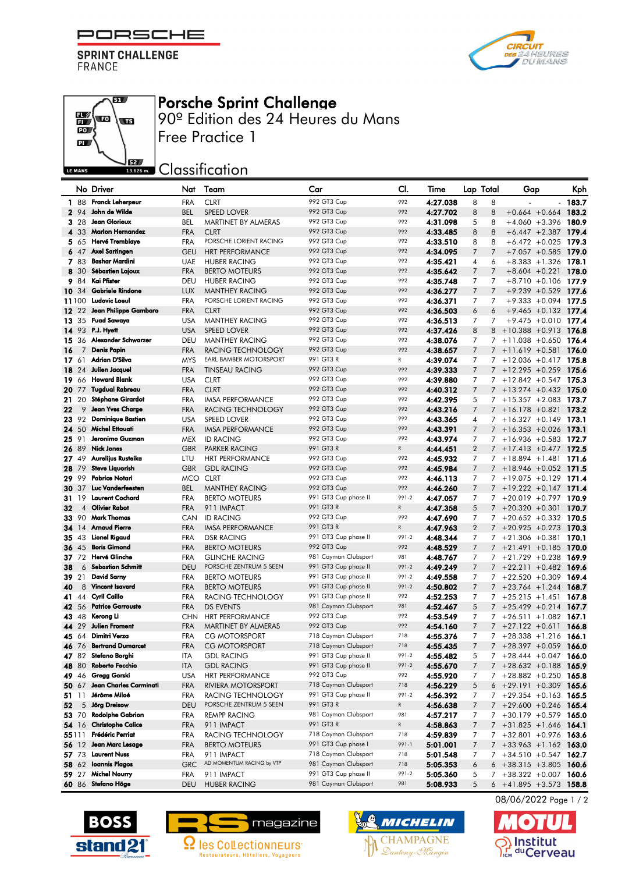PORSCHE F

**SPRINT CHALLENGE FRANCE** 





## Porsche Sprint Challenge

90º Edition des 24 Heures du Mans Free Practice 1

**SECONDED** Classification

|              |                | No Driver                | Nat        | Team                          | Car                        | CI.   | Time     | Lap Total      | Gap                                 | Kph                             |
|--------------|----------------|--------------------------|------------|-------------------------------|----------------------------|-------|----------|----------------|-------------------------------------|---------------------------------|
|              | 1 88           | Franck Leherpeur         | <b>FRA</b> | <b>CLRT</b>                   | 992 GT3 Cup                | 992   | 4:27.038 | 8              | 8                                   | 183.7                           |
|              | 2 94           | John de Wilde            | <b>BEL</b> | <b>SPEED LOVER</b>            | 992 GT3 Cup                | 992   | 4:27.702 | 8              | 8<br>$+0.664 + 0.664$               | 183.2                           |
|              | 3 28           | <b>Jean Glorieux</b>     | <b>BEL</b> | MARTINET BY ALMERAS           | 992 GT3 Cup                | 992   | 4:31.098 | 5              | 8                                   | $+4.060 +3.396$ 180.9           |
|              | 4 33           | Marlon Hernandez         | <b>FRA</b> | <b>CLRT</b>                   | 992 GT3 Cup                | 992   | 4:33.485 | 8              | 8<br>$+6.447 + 2.387$               | 179.4                           |
|              | 565            | Hervé Tremblaye          | <b>FRA</b> | PORSCHE LORIENT RACING        | 992 GT3 Cup                | 992   | 4:33.510 | 8              | 8                                   | $+6.472 + 0.025$ 179.3          |
|              | 647            | <b>Axel Sartingen</b>    | <b>GEU</b> | <b>HRT PERFORMANCE</b>        | 992 GT3 Cup                | 992   | 4:34.095 | 7              | $\overline{7}$                      | $+7.057 + 0.585$ 179.0          |
|              | 7 83           | Bashar Mardini           | <b>UAE</b> | <b>HUBER RACING</b>           | 992 GT3 Cup                | 992   | 4:35.421 | 4              | 6                                   | $+8.383 + 1.326$ 178.1          |
| 8            | 30             | <b>Sébastien Lajoux</b>  | <b>FRA</b> | <b>BERTO MOTEURS</b>          | 992 GT3 Cup                | 992   | 4:35.642 | $\overline{7}$ | $\overline{7}$<br>$+8.604 + 0.221$  | 178.0                           |
|              | 984            | Kai Pfister              | DEU        | <b>HUBER RACING</b>           | 992 GT3 Cup                | 992   | 4:35.748 | 7              | $\overline{7}$                      | $+8.710 + 0.106$ 177.9          |
| 10 34        |                | <b>Gabriele Rindone</b>  | <b>LUX</b> | <b>MANTHEY RACING</b>         | 992 GT3 Cup                | 992   | 4:36.277 | $\overline{7}$ | $\overline{7}$<br>$+9.239 + 0.529$  | 177.6                           |
|              | 11100          | Ludovic Loeul            | <b>FRA</b> | PORSCHE LORIENT RACING        | 992 GT3 Cup                | 992   | 4:36.371 | 7              | 7                                   | $+9.333 + 0.094$ 177.5          |
| <b>12</b> 22 |                | Jean Philippe Gambaro    | <b>FRA</b> | <b>CLRT</b>                   | 992 GT3 Cup                | 992   | 4:36.503 | 6              | $+9.465 +0.132$<br>6                | 177.4                           |
|              | 13 35          | <b>Fuad Sawaya</b>       | <b>USA</b> | MANTHEY RACING                | 992 GT3 Cup                | 992   | 4:36.513 | 7              | $+9.475 + 0.010$<br>7               | 177.4                           |
|              | 14 93          | P.J. Hyen                | <b>USA</b> | <b>SPEED LOVER</b>            | 992 GT3 Cup                | 992   | 4:37.426 | 8              | 8                                   | $+10.388 + 0.913$ 176.8         |
| 15.          | -36            | Alexander Schwarzer      | <b>DEU</b> | <b>MANTHEY RACING</b>         | 992 GT3 Cup                | 992   | 4:38.076 | $\overline{7}$ | 7                                   | $+11.038 + 0.650$ 176.4         |
| 16           | 7              | <b>Denis Papin</b>       | <b>FRA</b> | RACING TECHNOLOGY             | 992 GT3 Cup                | 992   | 4:38.657 | 7              | $+11.619 + 0.581$<br>$\overline{7}$ | 176.0                           |
|              | 17,61          | Adrian D'Silva           | <b>MYS</b> | <b>EARL BAMBER MOTORSPORT</b> | 991 GT3 R                  | R     | 4:39.074 | 7              | $+12.036 + 0.417$<br>7              | 175.8                           |
|              | 18 24          | Julien Jacquel           | <b>FRA</b> | <b>TINSEAU RACING</b>         | 992 GT3 Cup                | 992   | 4:39.333 | 7              | $+12.295 +0.259$<br>$7^{\circ}$     | 175.6                           |
|              | 19 66          | <b>Howard Blank</b>      | <b>USA</b> | <b>CLRT</b>                   | 992 GT3 Cup                | 992   | 4:39.880 | 7              | $\overline{7}$                      | $+12.842 +0.547$ 175.3          |
| 20 77        |                | <b>Tuadual Rabreau</b>   | <b>FRA</b> | <b>CLRT</b>                   | 992 GT3 Cup                | 992   | 4:40.312 | 7              | $7^{\circ}$<br>$+13.274 + 0.432$    | 175.0                           |
| 21 20        |                | Stéphane Girardot        | <b>FRA</b> | <b>IMSA PERFORMANCE</b>       | 992 GT3 Cup                | 992   | 4:42.395 | 5              |                                     | $+15.357 + 2.083$ 173.7         |
|              | 9              | Jean Yves Charge         | <b>FRA</b> | RACING TECHNOLOGY             | 992 GT3 Cup                | 992   |          |                | 7<br>7                              |                                 |
| 22           | 23 92          | <b>Dominique Bastien</b> |            |                               |                            | 992   | 4:43.216 | 7              | $+16.178 + 0.821$                   | 173.2<br>$+16.327 +0.149$ 173.1 |
|              |                | <b>Michel Ettouati</b>   | <b>USA</b> | SPEED LOVER                   | 992 GT3 Cup<br>992 GT3 Cup | 992   | 4:43.365 | 4              | 7                                   |                                 |
|              | 24 50          | Jeronimo Guzman          | <b>FRA</b> | <b>IMSA PERFORMANCE</b>       |                            | 992   | 4:43.391 | 7              | $+16.353 + 0.026$<br>$\overline{7}$ | 173.1                           |
| 25 91        |                |                          | <b>MEX</b> | <b>ID RACING</b>              | 992 GT3 Cup<br>991 GT3 R   |       | 4:43.974 | 7              | $+16.936 + 0.583$<br>7              | 172.7                           |
| 26 89        |                | <b>Nick Jones</b>        | <b>GBR</b> | <b>PARKER RACING</b>          |                            | R     | 4:44.451 | $\overline{2}$ | $7 + 17.413 + 0.477$ 172.5          |                                 |
|              | 27 49          | Aurelijus Rusteika       | LTU        | <b>HRT PERFORMANCE</b>        | 992 GT3 Cup                | 992   | 4:45.932 | $\overline{7}$ | $+18.894 + 1.481$<br>7              | 171.6                           |
| 28 79        |                | <b>Steve Liquorish</b>   | <b>GBR</b> | <b>GDL RACING</b>             | 992 GT3 Cup                | 992   | 4:45.984 | 7              | $\overline{7}$                      | $+18.946 + 0.052$ 171.5         |
|              | 29 99          | <b>Fabrice Notari</b>    | <b>MCO</b> | <b>CLRT</b>                   | 992 GT3 Cup                | 992   | 4:46.113 | 7              | $+19.075 +0.129$<br>7               | 171.4                           |
| 30 37        |                | Luc Vanderfeesten        | <b>BEL</b> | <b>MANTHEY RACING</b>         | 992 GT3 Cup                | 992   | 4:46.260 | 7              | $7 + 19.222 + 0.147$                | 171.4                           |
| 31           | 19             | <b>Laurent Cochard</b>   | <b>FRA</b> | <b>BERTO MOTEURS</b>          | 991 GT3 Cup phase II       | 991-2 | 4:47.057 | 7              | 7                                   | $+20.019 + 0.797$ 170.9         |
| 32           | $\overline{4}$ | <b>Olivier Rabot</b>     | <b>FRA</b> | 911 IMPACT                    | 991 GT3 R                  | R     | 4:47.358 | 5              | $\overline{7}$<br>$+20.320 + 0.301$ | 170.7                           |
|              |                | 33 90 Mark Thomas        | <b>CAN</b> | <b>ID RACING</b>              | 992 GT3 Cup                | 992   | 4:47.690 | 7              | 7                                   | $+20.652 + 0.332$ 170.5         |
| 34           | 14             | <b>Arnaud Pierre</b>     | <b>FRA</b> | <b>IMSA PERFORMANCE</b>       | 991 GT3 R                  | R     | 4:47.963 | $\overline{2}$ | $+20.925 +0.273$<br>$\overline{7}$  | 170.3                           |
|              | 35 43          | Lionel Rigaud            | <b>FRA</b> | <b>DSR RACING</b>             | 991 GT3 Cup phase II       | 991-2 | 4:48.344 | 7              | 7                                   | $+21.306 +0.381$ 170.1          |
|              | 36 45          | <b>Boris Gimond</b>      | <b>FRA</b> | <b>BERTO MOTEURS</b>          | 992 GT3 Cup                | 992   | 4:48.529 | $\overline{7}$ | $+21.491 + 0.185$<br>$\overline{7}$ | 170.0                           |
|              | 37 72          | Hervé Glinche            | <b>FRA</b> | <b>GLINCHE RACING</b>         | 981 Cayman Clubsport       | 981   | 4:48.767 | 7              | $\overline{7}$<br>$+21.729 +0.238$  | 169.9                           |
| 38           | 6              | <b>Sebastian Schmitt</b> | <b>DEU</b> | PORSCHE ZENTRUM 5 SEEN        | 991 GT3 Cup phase II       | 991-2 | 4:49.249 | $\overline{7}$ | $7 + 22.211 + 0.482$ 169.6          |                                 |
| 39 21        |                | <b>David Sarny</b>       | <b>FRA</b> | <b>BERTO MOTEURS</b>          | 991 GT3 Cup phase II       | 991-2 | 4:49.558 | 7              | $+22.520 + 0.309$<br>7              | 169.4                           |
| 40           | 8              | <b>Vincent Isavard</b>   | <b>FRA</b> | <b>BERTO MOTEURS</b>          | 991 GT3 Cup phase II       | 991-2 | 4:50.802 | 7              | $+23.764 + 1.244$<br>$\overline{7}$ | 168.7                           |
|              | 41 44          | Cyril Caillo             | <b>FRA</b> | RACING TECHNOLOGY             | 991 GT3 Cup phase II       | 992   | 4:52.253 | 7              | $+25.215 + 1.451$<br>7              | 167.8                           |
|              | 42 56          | <b>Patrice Garrouste</b> | <b>FRA</b> | <b>DS EVENTS</b>              | 981 Cayman Clubsport       | 981   | 4:52.467 | 5              | $+25.429 +0.214$<br>$7^{\circ}$     | 167.7                           |
|              | 43 48          | Kerona Li                | <b>CHN</b> | <b>HRT PERFORMANCE</b>        | 992 GT3 Cup                | 992   | 4:53.549 | 7              | 7                                   | $+26.511 + 1.082$ 167.1         |
| 44 29        |                | <b>Julien Froment</b>    | <b>FRA</b> | <b>MARTINET BY ALMERAS</b>    | 992 GT3 Cup                | 992   | 4:54.160 | 7              | $\overline{7}$<br>$+27.122 +0.611$  | 166.8                           |
| 45 64        |                | Dimitri Verza            | <b>FRA</b> | <b>CG MOTORSPORT</b>          | 718 Cayman Clubsport       | 718   | 4:55.376 | $\overline{7}$ | 7                                   | $+28.338 + 1.216$ 166.1         |
|              | 46 76          | <b>Bertrand Dumarcet</b> | <b>FRA</b> | <b>CG MOTORSPORT</b>          | 718 Cayman Clubsport       | 718   | 4:55.435 | 7              | $+28.397 +0.059$<br>$\overline{7}$  | 166.0                           |
|              |                | 47 82 Stefano Borghi     | ITA        | <b>GDL RACING</b>             | 991 GT3 Cup phase II       | 991-2 | 4:55.482 | 5              | 7                                   | $+28.444 + 0.047$ 166.0         |
|              | 48 80          | Roberto Fecchio          | <b>ITA</b> | <b>GDL RACING</b>             | 991 GT3 Cup phase II       | 991-2 | 4:55.670 | 7              | $7 + 28.632 + 0.188$ 165.9          |                                 |
|              | 49 46          | Gregg Gorski             | <b>USA</b> | <b>HRT PERFORMANCE</b>        | 992 GT3 Cup                | 992   | 4:55.920 | 7              | 7                                   | $+28.882 + 0.250$ 165.8         |
|              | 50 67          | Jean Charles Carminati   | <b>FRA</b> | RIVIERA MOTORSPORT            | 718 Cayman Clubsport       | 718   | 4:56.229 | 5              | $6 + 29.191 + 0.309$ 165.6          |                                 |
| 51 11        |                | Jérôme Miloé             | <b>FRA</b> | RACING TECHNOLOGY             | 991 GT3 Cup phase II       | 991-2 | 4:56.392 | 7              | 7                                   | $+29.354 +0.163$ 165.5          |
| 52           | 5              | Jörg Dreisow             | DEU        | PORSCHE ZENTRUM 5 SEEN        | 991 GT3 R                  | R     | 4:56.638 | 7              | $7 + 29.600 + 0.246$ 165.4          |                                 |
|              | 53 70          | <b>Rodolphe Gabrion</b>  | <b>FRA</b> | <b>REMPP RACING</b>           | 981 Cayman Clubsport       | 981   | 4:57.217 | 7              | 7                                   | $+30.179 + 0.579$ 165.0         |
|              | 54 16          | <b>Christophe Calice</b> | <b>FRA</b> | 911 IMPACT                    | 991 GT3 R                  | R     | 4:58.863 | 7              | $7 + 31.825 + 1.646$ 164.1          |                                 |
| 55111        |                | Frédéric Perriat         | <b>FRA</b> | RACING TECHNOLOGY             | 718 Cayman Clubsport       | 718   | 4:59.839 | 7              | 7                                   | $+32.801$ $+0.976$ 163.6        |
|              | 56 12          | Jean Marc Lesage         | <b>FRA</b> | <b>BERTO MOTEURS</b>          | 991 GT3 Cup phase I        | 991-1 | 5:01.001 | 7              | $7 + 33.963 + 1.162$ 163.0          |                                 |
|              | 57 73          | <b>Laurent Nuss</b>      | <b>FRA</b> | 911 IMPACT                    | 718 Cayman Clubsport       | 718   | 5:01.548 | 7              | $7 + 34.510 + 0.547$ 162.7          |                                 |
|              | 58 62          | <b>Ioannis Plagos</b>    | <b>GRC</b> | AD MOMENTUM RACING by VTP     | 981 Cayman Clubsport       | 718   | 5:05.353 | 6              | 6                                   | $+38.315 +3.805$ 160.6          |
|              |                | 59 27 Michel Nourry      | <b>FRA</b> | 911 IMPACT                    | 991 GT3 Cup phase II       | 991-2 | 5:05.360 | 5              | $7 + 38.322 + 0.007$ 160.6          |                                 |
|              |                | 60 86 Stefano Höge       |            | DEU HUBER RACING              | 981 Cayman Clubsport       | 981   | 5:08.933 | 5              | $6 + 41.895 + 3.573$ 158.8          |                                 |







08/06/2022 Page 1 / 2